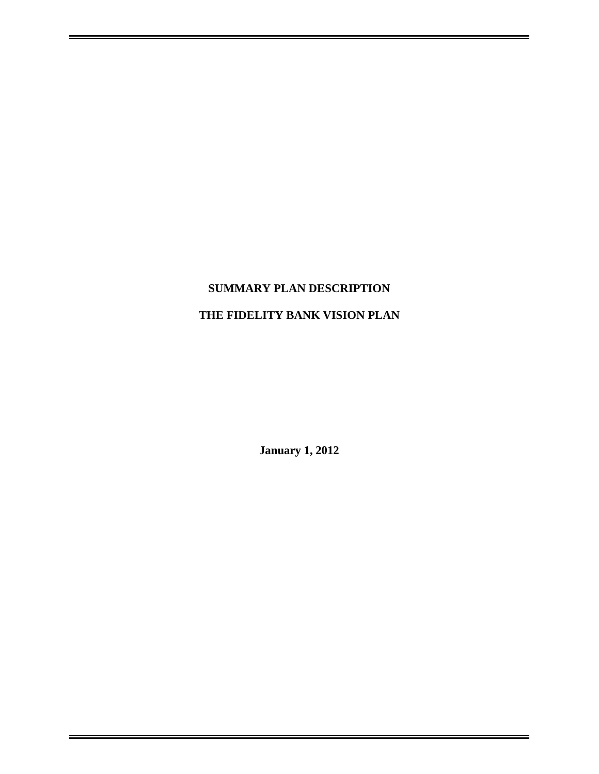# **SUMMARY PLAN DESCRIPTION**

# **THE FIDELITY BANK VISION PLAN**

**January 1, 2012**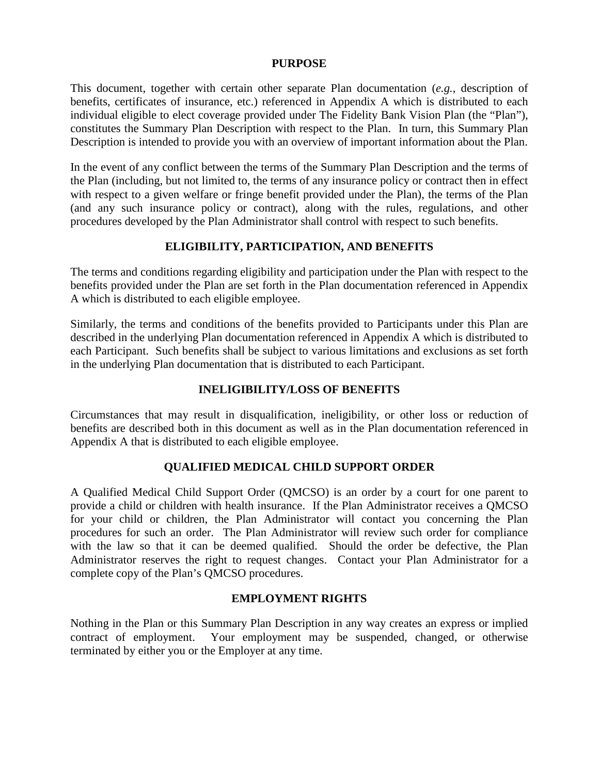#### **PURPOSE**

This document, together with certain other separate Plan documentation (*e.g.*, description of benefits, certificates of insurance, etc.) referenced in Appendix A which is distributed to each individual eligible to elect coverage provided under The Fidelity Bank Vision Plan (the "Plan"), constitutes the Summary Plan Description with respect to the Plan. In turn, this Summary Plan Description is intended to provide you with an overview of important information about the Plan.

In the event of any conflict between the terms of the Summary Plan Description and the terms of the Plan (including, but not limited to, the terms of any insurance policy or contract then in effect with respect to a given welfare or fringe benefit provided under the Plan), the terms of the Plan (and any such insurance policy or contract), along with the rules, regulations, and other procedures developed by the Plan Administrator shall control with respect to such benefits.

### **ELIGIBILITY, PARTICIPATION, AND BENEFITS**

The terms and conditions regarding eligibility and participation under the Plan with respect to the benefits provided under the Plan are set forth in the Plan documentation referenced in Appendix A which is distributed to each eligible employee.

Similarly, the terms and conditions of the benefits provided to Participants under this Plan are described in the underlying Plan documentation referenced in Appendix A which is distributed to each Participant. Such benefits shall be subject to various limitations and exclusions as set forth in the underlying Plan documentation that is distributed to each Participant.

#### **INELIGIBILITY/LOSS OF BENEFITS**

Circumstances that may result in disqualification, ineligibility, or other loss or reduction of benefits are described both in this document as well as in the Plan documentation referenced in Appendix A that is distributed to each eligible employee.

# **QUALIFIED MEDICAL CHILD SUPPORT ORDER**

A Qualified Medical Child Support Order (QMCSO) is an order by a court for one parent to provide a child or children with health insurance. If the Plan Administrator receives a QMCSO for your child or children, the Plan Administrator will contact you concerning the Plan procedures for such an order. The Plan Administrator will review such order for compliance with the law so that it can be deemed qualified. Should the order be defective, the Plan Administrator reserves the right to request changes. Contact your Plan Administrator for a complete copy of the Plan's QMCSO procedures.

#### **EMPLOYMENT RIGHTS**

Nothing in the Plan or this Summary Plan Description in any way creates an express or implied contract of employment. Your employment may be suspended, changed, or otherwise terminated by either you or the Employer at any time.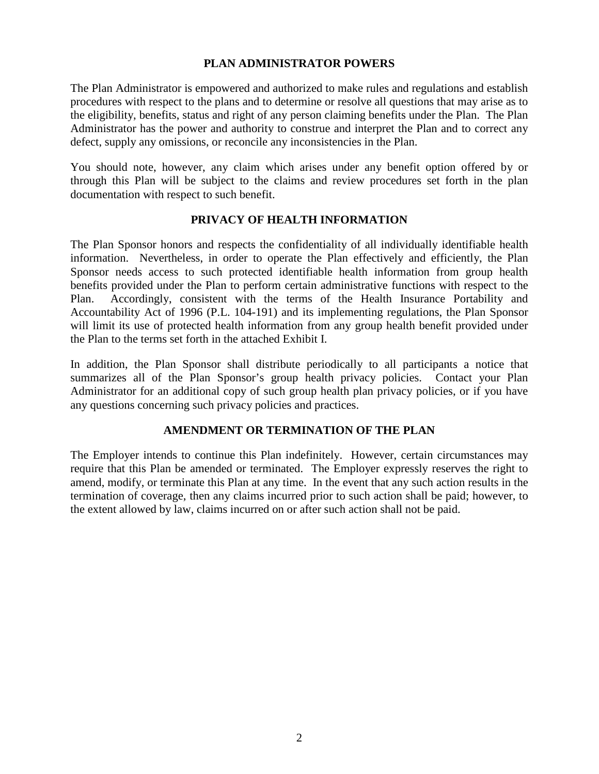#### **PLAN ADMINISTRATOR POWERS**

The Plan Administrator is empowered and authorized to make rules and regulations and establish procedures with respect to the plans and to determine or resolve all questions that may arise as to the eligibility, benefits, status and right of any person claiming benefits under the Plan. The Plan Administrator has the power and authority to construe and interpret the Plan and to correct any defect, supply any omissions, or reconcile any inconsistencies in the Plan.

You should note, however, any claim which arises under any benefit option offered by or through this Plan will be subject to the claims and review procedures set forth in the plan documentation with respect to such benefit.

# **PRIVACY OF HEALTH INFORMATION**

The Plan Sponsor honors and respects the confidentiality of all individually identifiable health information. Nevertheless, in order to operate the Plan effectively and efficiently, the Plan Sponsor needs access to such protected identifiable health information from group health benefits provided under the Plan to perform certain administrative functions with respect to the Plan. Accordingly, consistent with the terms of the Health Insurance Portability and Accountability Act of 1996 (P.L. 104-191) and its implementing regulations, the Plan Sponsor will limit its use of protected health information from any group health benefit provided under the Plan to the terms set forth in the attached Exhibit I.

In addition, the Plan Sponsor shall distribute periodically to all participants a notice that summarizes all of the Plan Sponsor's group health privacy policies. Contact your Plan Administrator for an additional copy of such group health plan privacy policies, or if you have any questions concerning such privacy policies and practices.

# **AMENDMENT OR TERMINATION OF THE PLAN**

The Employer intends to continue this Plan indefinitely. However, certain circumstances may require that this Plan be amended or terminated. The Employer expressly reserves the right to amend, modify, or terminate this Plan at any time. In the event that any such action results in the termination of coverage, then any claims incurred prior to such action shall be paid; however, to the extent allowed by law, claims incurred on or after such action shall not be paid.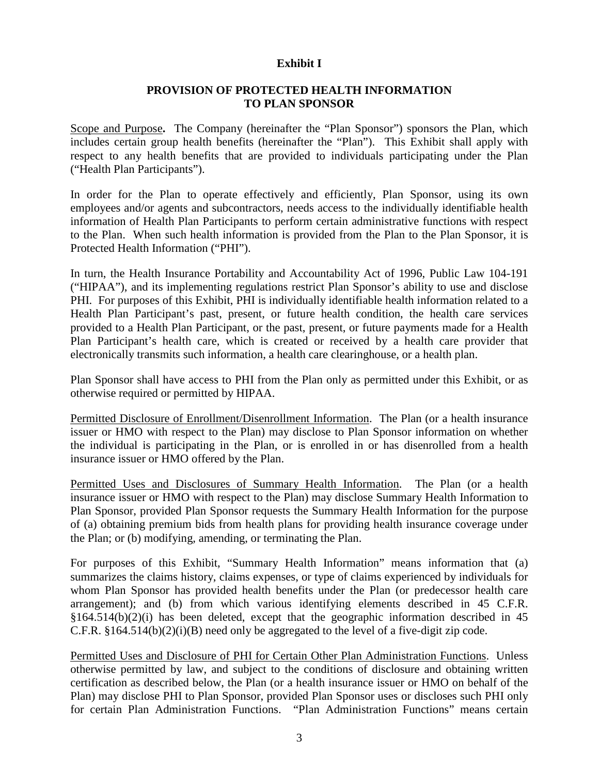#### **Exhibit I**

## **PROVISION OF PROTECTED HEALTH INFORMATION TO PLAN SPONSOR**

Scope and Purpose**.** The Company (hereinafter the "Plan Sponsor") sponsors the Plan, which includes certain group health benefits (hereinafter the "Plan"). This Exhibit shall apply with respect to any health benefits that are provided to individuals participating under the Plan ("Health Plan Participants").

In order for the Plan to operate effectively and efficiently, Plan Sponsor, using its own employees and/or agents and subcontractors, needs access to the individually identifiable health information of Health Plan Participants to perform certain administrative functions with respect to the Plan. When such health information is provided from the Plan to the Plan Sponsor, it is Protected Health Information ("PHI").

In turn, the Health Insurance Portability and Accountability Act of 1996, Public Law 104-191 ("HIPAA"), and its implementing regulations restrict Plan Sponsor's ability to use and disclose PHI. For purposes of this Exhibit, PHI is individually identifiable health information related to a Health Plan Participant's past, present, or future health condition, the health care services provided to a Health Plan Participant, or the past, present, or future payments made for a Health Plan Participant's health care, which is created or received by a health care provider that electronically transmits such information, a health care clearinghouse, or a health plan.

Plan Sponsor shall have access to PHI from the Plan only as permitted under this Exhibit, or as otherwise required or permitted by HIPAA.

Permitted Disclosure of Enrollment/Disenrollment Information. The Plan (or a health insurance issuer or HMO with respect to the Plan) may disclose to Plan Sponsor information on whether the individual is participating in the Plan, or is enrolled in or has disenrolled from a health insurance issuer or HMO offered by the Plan.

Permitted Uses and Disclosures of Summary Health Information. The Plan (or a health insurance issuer or HMO with respect to the Plan) may disclose Summary Health Information to Plan Sponsor, provided Plan Sponsor requests the Summary Health Information for the purpose of (a) obtaining premium bids from health plans for providing health insurance coverage under the Plan; or (b) modifying, amending, or terminating the Plan.

For purposes of this Exhibit, "Summary Health Information" means information that (a) summarizes the claims history, claims expenses, or type of claims experienced by individuals for whom Plan Sponsor has provided health benefits under the Plan (or predecessor health care arrangement); and (b) from which various identifying elements described in 45 C.F.R. §164.514(b)(2)(i) has been deleted, except that the geographic information described in 45 C.F.R. §164.514(b)(2)(i)(B) need only be aggregated to the level of a five-digit zip code.

Permitted Uses and Disclosure of PHI for Certain Other Plan Administration Functions. Unless otherwise permitted by law, and subject to the conditions of disclosure and obtaining written certification as described below, the Plan (or a health insurance issuer or HMO on behalf of the Plan) may disclose PHI to Plan Sponsor, provided Plan Sponsor uses or discloses such PHI only for certain Plan Administration Functions. "Plan Administration Functions" means certain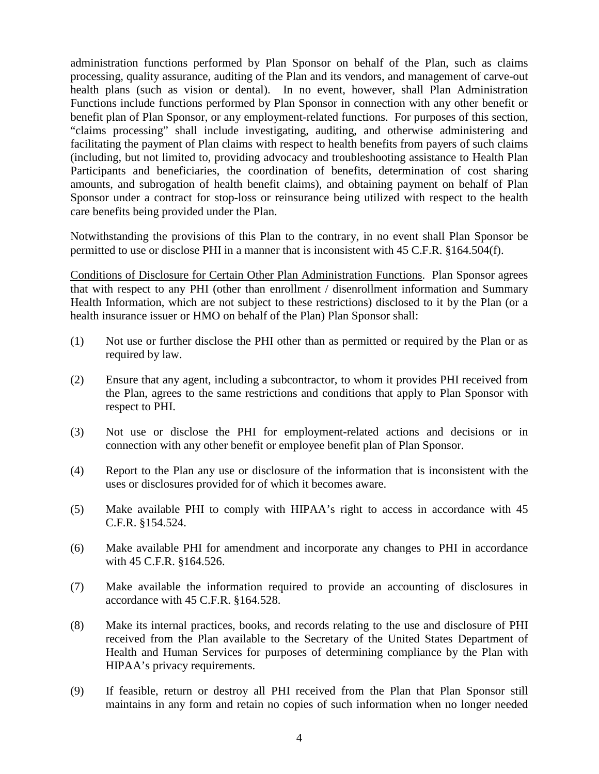administration functions performed by Plan Sponsor on behalf of the Plan, such as claims processing, quality assurance, auditing of the Plan and its vendors, and management of carve-out health plans (such as vision or dental). In no event, however, shall Plan Administration Functions include functions performed by Plan Sponsor in connection with any other benefit or benefit plan of Plan Sponsor, or any employment-related functions. For purposes of this section, "claims processing" shall include investigating, auditing, and otherwise administering and facilitating the payment of Plan claims with respect to health benefits from payers of such claims (including, but not limited to, providing advocacy and troubleshooting assistance to Health Plan Participants and beneficiaries, the coordination of benefits, determination of cost sharing amounts, and subrogation of health benefit claims), and obtaining payment on behalf of Plan Sponsor under a contract for stop-loss or reinsurance being utilized with respect to the health care benefits being provided under the Plan.

Notwithstanding the provisions of this Plan to the contrary, in no event shall Plan Sponsor be permitted to use or disclose PHI in a manner that is inconsistent with 45 C.F.R. §164.504(f).

Conditions of Disclosure for Certain Other Plan Administration Functions. Plan Sponsor agrees that with respect to any PHI (other than enrollment / disenrollment information and Summary Health Information, which are not subject to these restrictions) disclosed to it by the Plan (or a health insurance issuer or HMO on behalf of the Plan) Plan Sponsor shall:

- (1) Not use or further disclose the PHI other than as permitted or required by the Plan or as required by law.
- (2) Ensure that any agent, including a subcontractor, to whom it provides PHI received from the Plan, agrees to the same restrictions and conditions that apply to Plan Sponsor with respect to PHI.
- (3) Not use or disclose the PHI for employment-related actions and decisions or in connection with any other benefit or employee benefit plan of Plan Sponsor.
- (4) Report to the Plan any use or disclosure of the information that is inconsistent with the uses or disclosures provided for of which it becomes aware.
- (5) Make available PHI to comply with HIPAA's right to access in accordance with 45 C.F.R. §154.524.
- (6) Make available PHI for amendment and incorporate any changes to PHI in accordance with 45 C.F.R. §164.526.
- (7) Make available the information required to provide an accounting of disclosures in accordance with 45 C.F.R. §164.528.
- (8) Make its internal practices, books, and records relating to the use and disclosure of PHI received from the Plan available to the Secretary of the United States Department of Health and Human Services for purposes of determining compliance by the Plan with HIPAA's privacy requirements.
- (9) If feasible, return or destroy all PHI received from the Plan that Plan Sponsor still maintains in any form and retain no copies of such information when no longer needed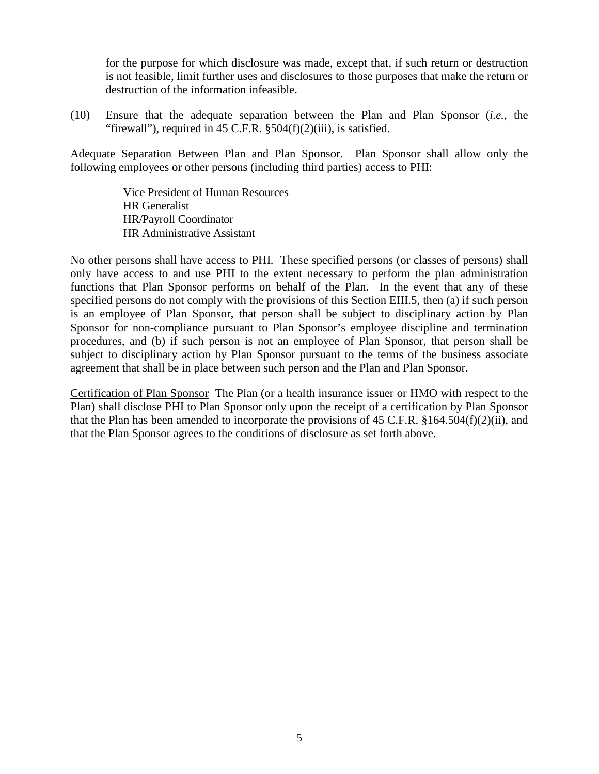for the purpose for which disclosure was made, except that, if such return or destruction is not feasible, limit further uses and disclosures to those purposes that make the return or destruction of the information infeasible.

(10) Ensure that the adequate separation between the Plan and Plan Sponsor (*i.e.*, the "firewall"), required in  $45$  C.F.R.  $\S 504(f)(2)(iii)$ , is satisfied.

Adequate Separation Between Plan and Plan Sponsor. Plan Sponsor shall allow only the following employees or other persons (including third parties) access to PHI:

> Vice President of Human Resources HR Generalist HR/Payroll Coordinator HR Administrative Assistant

No other persons shall have access to PHI. These specified persons (or classes of persons) shall only have access to and use PHI to the extent necessary to perform the plan administration functions that Plan Sponsor performs on behalf of the Plan. In the event that any of these specified persons do not comply with the provisions of this Section EIII.5, then (a) if such person is an employee of Plan Sponsor, that person shall be subject to disciplinary action by Plan Sponsor for non-compliance pursuant to Plan Sponsor's employee discipline and termination procedures, and (b) if such person is not an employee of Plan Sponsor, that person shall be subject to disciplinary action by Plan Sponsor pursuant to the terms of the business associate agreement that shall be in place between such person and the Plan and Plan Sponsor.

Certification of Plan Sponsor The Plan (or a health insurance issuer or HMO with respect to the Plan) shall disclose PHI to Plan Sponsor only upon the receipt of a certification by Plan Sponsor that the Plan has been amended to incorporate the provisions of 45 C.F.R. §164.504(f)(2)(ii), and that the Plan Sponsor agrees to the conditions of disclosure as set forth above.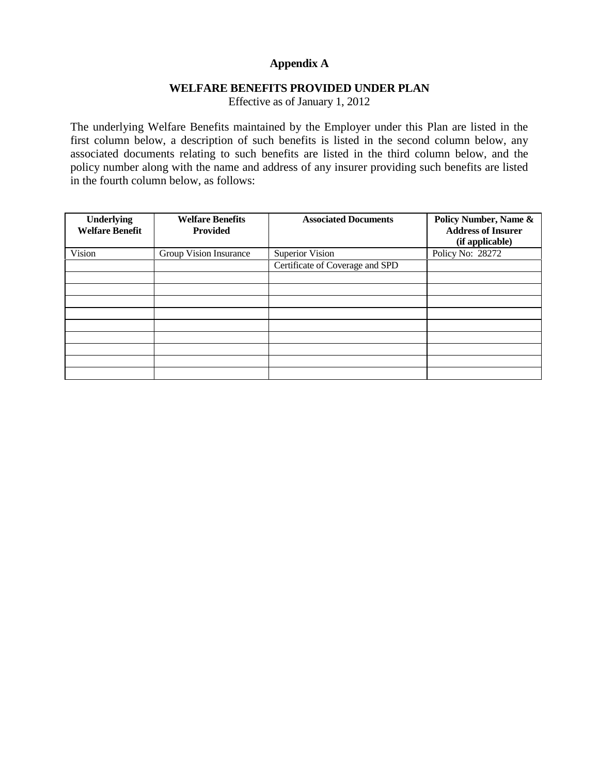# **Appendix A**

#### **WELFARE BENEFITS PROVIDED UNDER PLAN**

Effective as of January 1, 2012

The underlying Welfare Benefits maintained by the Employer under this Plan are listed in the first column below, a description of such benefits is listed in the second column below, any associated documents relating to such benefits are listed in the third column below, and the policy number along with the name and address of any insurer providing such benefits are listed in the fourth column below, as follows:

| <b>Underlying</b><br><b>Welfare Benefit</b> | <b>Welfare Benefits</b><br><b>Provided</b> | <b>Associated Documents</b>     | Policy Number, Name &<br><b>Address of Insurer</b><br>(if applicable) |
|---------------------------------------------|--------------------------------------------|---------------------------------|-----------------------------------------------------------------------|
| Vision                                      | Group Vision Insurance                     | <b>Superior Vision</b>          | Policy No: 28272                                                      |
|                                             |                                            | Certificate of Coverage and SPD |                                                                       |
|                                             |                                            |                                 |                                                                       |
|                                             |                                            |                                 |                                                                       |
|                                             |                                            |                                 |                                                                       |
|                                             |                                            |                                 |                                                                       |
|                                             |                                            |                                 |                                                                       |
|                                             |                                            |                                 |                                                                       |
|                                             |                                            |                                 |                                                                       |
|                                             |                                            |                                 |                                                                       |
|                                             |                                            |                                 |                                                                       |